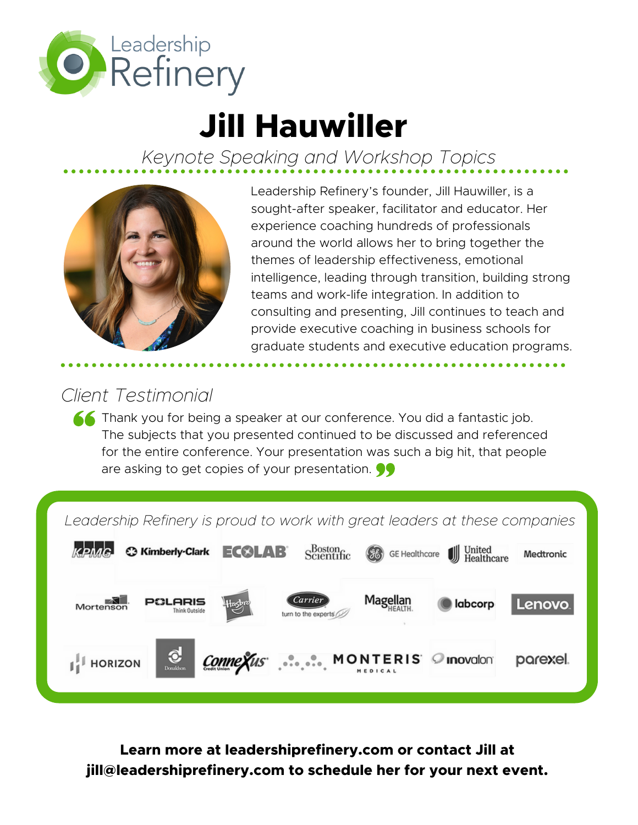

# **Jill Hauwiller**

*Keynote Speaking and Workshop Topics*



Leadership Refinery's founder, Jill Hauwiller, is a sought-after speaker, facilitator and educator. Her experience coaching hundreds of professionals around the world allows her to bring together the themes of leadership effectiveness, emotional intelligence, leading through transition, building strong teams and work-life integration. In addition to consulting and presenting, Jill continues to teach and provide executive coaching in business schools for graduate students and executive education programs.

# *Client Testimonial*

**Thank you for being a speaker at our conference. You did a fantastic job.** The subjects that you presented continued to be discussed and referenced for the entire conference. Your presentation was such a big hit, that people are asking to get copies of your presentation.

*Leadership Refinery is proud to work with great leaders at these companies*



**Learn more at leadershiprefinery.com or contact Jill at jill@leadershiprefinery.com to schedule her for your next event.**